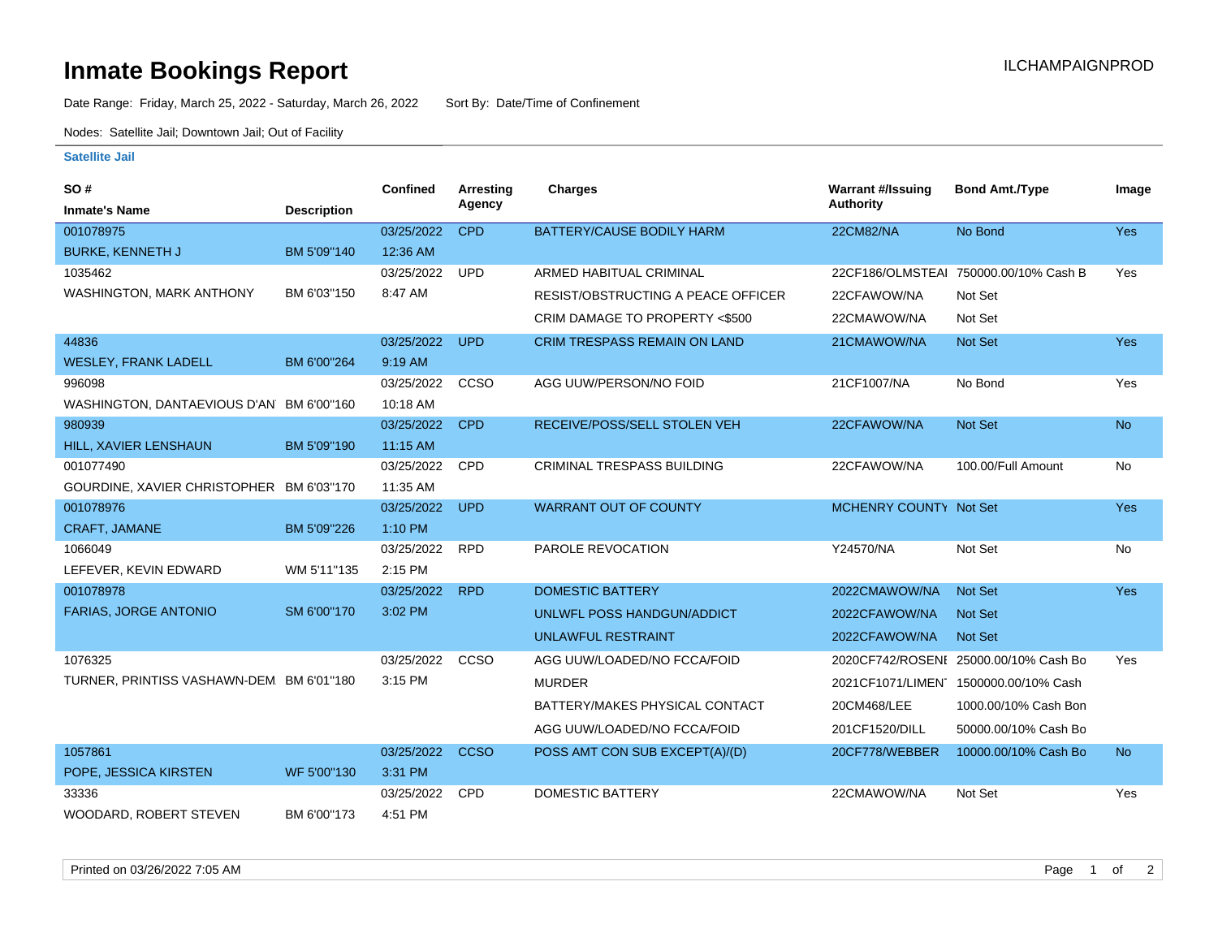## **Inmate Bookings Report International Contract Contract Contract Contract Contract Contract Contract Contract Contract Contract Contract Contract Contract Contract Contract Contract Contract Contract Contract Contract Co**

Date Range: Friday, March 25, 2022 - Saturday, March 26, 2022 Sort By: Date/Time of Confinement

Nodes: Satellite Jail; Downtown Jail; Out of Facility

## **Satellite Jail**

| SO#                                      |                    | <b>Confined</b> | Arresting   | <b>Charges</b>                            | <b>Warrant #/Issuing</b> | <b>Bond Amt./Type</b>                 | Image      |
|------------------------------------------|--------------------|-----------------|-------------|-------------------------------------------|--------------------------|---------------------------------------|------------|
| <b>Inmate's Name</b>                     | <b>Description</b> |                 | Agency      |                                           | Authority                |                                       |            |
| 001078975                                |                    | 03/25/2022      | <b>CPD</b>  | BATTERY/CAUSE BODILY HARM                 | 22CM82/NA                | No Bond                               | Yes        |
| <b>BURKE, KENNETH J</b>                  | BM 5'09"140        | 12:36 AM        |             |                                           |                          |                                       |            |
| 1035462                                  |                    | 03/25/2022      | <b>UPD</b>  | ARMED HABITUAL CRIMINAL                   |                          | 22CF186/OLMSTEAI 750000.00/10% Cash B | Yes        |
| <b>WASHINGTON, MARK ANTHONY</b>          | BM 6'03"150        | 8:47 AM         |             | <b>RESIST/OBSTRUCTING A PEACE OFFICER</b> | 22CFAWOW/NA              | Not Set                               |            |
|                                          |                    |                 |             | CRIM DAMAGE TO PROPERTY <\$500            | 22CMAWOW/NA              | Not Set                               |            |
| 44836                                    |                    | 03/25/2022      | <b>UPD</b>  | <b>CRIM TRESPASS REMAIN ON LAND</b>       | 21CMAWOW/NA              | <b>Not Set</b>                        | <b>Yes</b> |
| <b>WESLEY, FRANK LADELL</b>              | BM 6'00"264        | 9:19 AM         |             |                                           |                          |                                       |            |
| 996098                                   |                    | 03/25/2022      | CCSO        | AGG UUW/PERSON/NO FOID                    | 21CF1007/NA              | No Bond                               | Yes        |
| WASHINGTON, DANTAEVIOUS D'AN BM 6'00"160 |                    | 10:18 AM        |             |                                           |                          |                                       |            |
| 980939                                   |                    | 03/25/2022      | <b>CPD</b>  | RECEIVE/POSS/SELL STOLEN VEH              | 22CFAWOW/NA              | Not Set                               | <b>No</b>  |
| HILL, XAVIER LENSHAUN                    | BM 5'09"190        | 11:15 AM        |             |                                           |                          |                                       |            |
| 001077490                                |                    | 03/25/2022      | CPD         | CRIMINAL TRESPASS BUILDING                | 22CFAWOW/NA              | 100.00/Full Amount                    | No         |
| GOURDINE, XAVIER CHRISTOPHER BM 6'03"170 |                    | 11:35 AM        |             |                                           |                          |                                       |            |
| 001078976                                |                    | 03/25/2022      | <b>UPD</b>  | <b>WARRANT OUT OF COUNTY</b>              | MCHENRY COUNTY Not Set   |                                       | <b>Yes</b> |
| <b>CRAFT, JAMANE</b>                     | BM 5'09"226        | 1:10 PM         |             |                                           |                          |                                       |            |
| 1066049                                  |                    | 03/25/2022      | <b>RPD</b>  | PAROLE REVOCATION                         | Y24570/NA                | Not Set                               | No         |
| LEFEVER, KEVIN EDWARD                    | WM 5'11"135        | 2:15 PM         |             |                                           |                          |                                       |            |
| 001078978                                |                    | 03/25/2022      | <b>RPD</b>  | <b>DOMESTIC BATTERY</b>                   | 2022CMAWOW/NA            | <b>Not Set</b>                        | <b>Yes</b> |
| <b>FARIAS, JORGE ANTONIO</b>             | SM 6'00"170        | 3:02 PM         |             | UNLWFL POSS HANDGUN/ADDICT                | 2022CFAWOW/NA            | <b>Not Set</b>                        |            |
|                                          |                    |                 |             | <b>UNLAWFUL RESTRAINT</b>                 | 2022CFAWOW/NA            | <b>Not Set</b>                        |            |
| 1076325                                  |                    | 03/25/2022      | CCSO        | AGG UUW/LOADED/NO FCCA/FOID               |                          | 2020CF742/ROSENI 25000.00/10% Cash Bo | Yes        |
| TURNER, PRINTISS VASHAWN-DEM BM 6'01"180 |                    | 3:15 PM         |             | <b>MURDER</b>                             |                          | 2021CF1071/LIMEN 1500000.00/10% Cash  |            |
|                                          |                    |                 |             | BATTERY/MAKES PHYSICAL CONTACT            | 20CM468/LEE              | 1000.00/10% Cash Bon                  |            |
|                                          |                    |                 |             | AGG UUW/LOADED/NO FCCA/FOID               | 201CF1520/DILL           | 50000.00/10% Cash Bo                  |            |
| 1057861                                  |                    | 03/25/2022      | <b>CCSO</b> | POSS AMT CON SUB EXCEPT(A)/(D)            | 20CF778/WEBBER           | 10000.00/10% Cash Bo                  | <b>No</b>  |
| POPE, JESSICA KIRSTEN                    | WF 5'00"130        | 3:31 PM         |             |                                           |                          |                                       |            |
| 33336                                    |                    | 03/25/2022      | <b>CPD</b>  | <b>DOMESTIC BATTERY</b>                   | 22CMAWOW/NA              | Not Set                               | Yes        |
| WOODARD, ROBERT STEVEN                   | BM 6'00"173        | 4:51 PM         |             |                                           |                          |                                       |            |